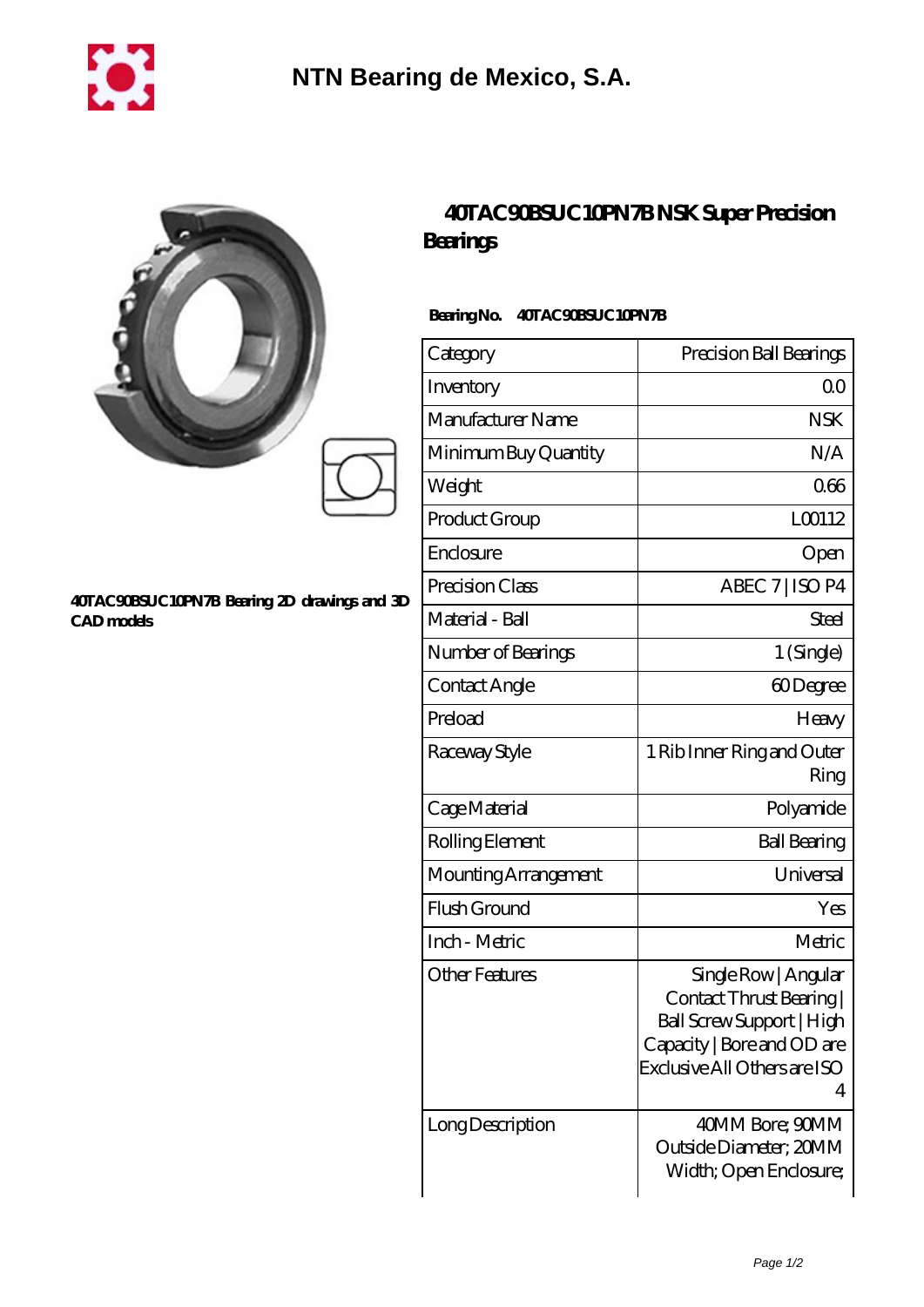

|                                                                   | <b>40TAC90BSUC10</b><br>Bearings |
|-------------------------------------------------------------------|----------------------------------|
|                                                                   | BearingNo.<br>40TAC90BSU         |
|                                                                   | Category                         |
|                                                                   | Inventory                        |
|                                                                   | Manufacturer Name                |
|                                                                   | Minimum Buy Quantity             |
|                                                                   | Weight                           |
|                                                                   | Product Group                    |
| 40TAC90BSUC10PN7B Bearing 2D drawings and 3D<br><b>CAD</b> models | Enclosure                        |
|                                                                   | Precision Class                  |
|                                                                   | Material - Ball                  |
|                                                                   | Number of Bearings               |
|                                                                   |                                  |

## **[40TAC90BSUC10PN7B NSK Super Precision](https://www.sharkhomesearch.com/super-precision-bearings/40tac90bsuc10pn7b.html)**

## **C10PN7B**

| Category              | Precision Ball Bearings                                                                                                                        |
|-----------------------|------------------------------------------------------------------------------------------------------------------------------------------------|
| Inventory             | 0 <sup>0</sup>                                                                                                                                 |
| Manufacturer Name     | <b>NSK</b>                                                                                                                                     |
| Minimum Buy Quantity  | N/A                                                                                                                                            |
| Weight                | 066                                                                                                                                            |
| Product Group         | L00112                                                                                                                                         |
| Enclosure             | Open                                                                                                                                           |
| Precision Class       | ABEC 7   ISO P4                                                                                                                                |
| Material - Ball       | Steel                                                                                                                                          |
| Number of Bearings    | 1 (Single)                                                                                                                                     |
| Contact Angle         | 60Degree                                                                                                                                       |
| Preload               | Heavy                                                                                                                                          |
| Raceway Style         | 1 Rib Inner Ring and Outer<br>Ring                                                                                                             |
| Cage Material         | Polyamide                                                                                                                                      |
| Rolling Element       | <b>Ball Bearing</b>                                                                                                                            |
| Mounting Arrangement  | Universal                                                                                                                                      |
| Flush Ground          | Yes                                                                                                                                            |
| Inch - Metric         | Metric                                                                                                                                         |
| <b>Other Features</b> | Single Row   Angular<br>Contact Thrust Bearing<br>Ball Screw Support   High<br>Capacity   Bore and OD are<br>Exclusive All Others are ISO<br>4 |
| Long Description      | 40MM Bore; 90MM<br>Outside Diameter; 20MM<br>Width; Open Enclosure;                                                                            |